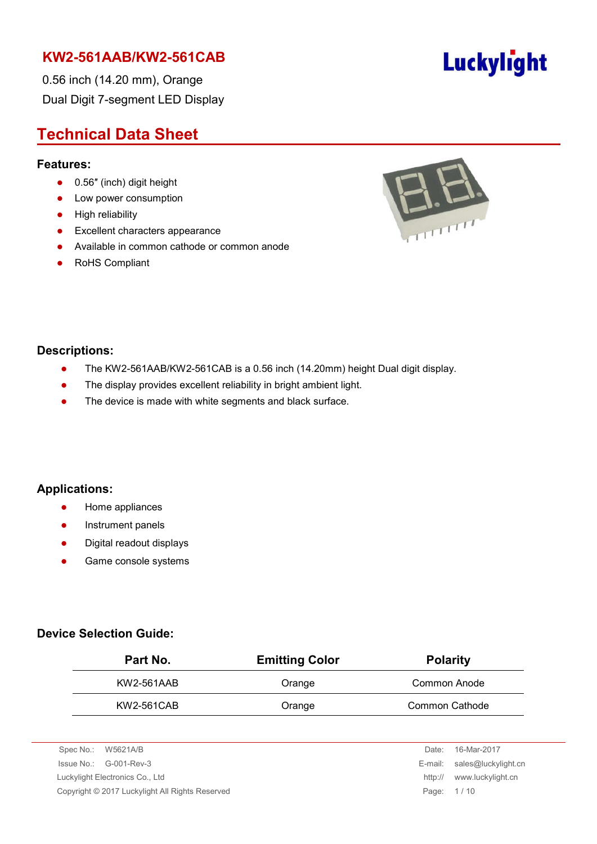0.56 inch (14.20 mm), Orange Dual Digit 7-segment LED Display

## **Technical Data Sheet**

#### **Features:**

- 0.56" (inch) digit height
- Low power consumption
- **•** High reliability
- **•** Excellent characters appearance
- Available in common cathode or common anode
- RoHS Compliant



#### **Descriptions:**

- The KW2-561AAB/KW2-561CAB is a 0.56 inch (14.20mm) height Dual digit display.
- The display provides excellent reliability in bright ambient light.
- The device is made with white segments and black surface.

#### **Applications:**

- **•** Home appliances
- **•** Instrument panels
- Digital readout displays
- **•** Game console systems

#### **Device Selection Guide:**

| Part No.   | <b>Emitting Color</b> | <b>Polarity</b> |  |  |
|------------|-----------------------|-----------------|--|--|
| KW2-561AAB | Orange                | Common Anode    |  |  |
| KW2-561CAB | Orange                | Common Cathode  |  |  |

| Spec No.: W5621A/B                                            | Date: | 16-Mar-2017                 |
|---------------------------------------------------------------|-------|-----------------------------|
| $\ssue No.: \, G-001-Rev-3$                                   |       | E-mail: sales@luckylight.cn |
| Luckylight Electronics Co., Ltd                               |       | www.luckylight.cn           |
| Copyright © 2017 Luckylight All Rights Reserved<br>Page: 1/10 |       |                             |
|                                                               |       |                             |

# Luckylight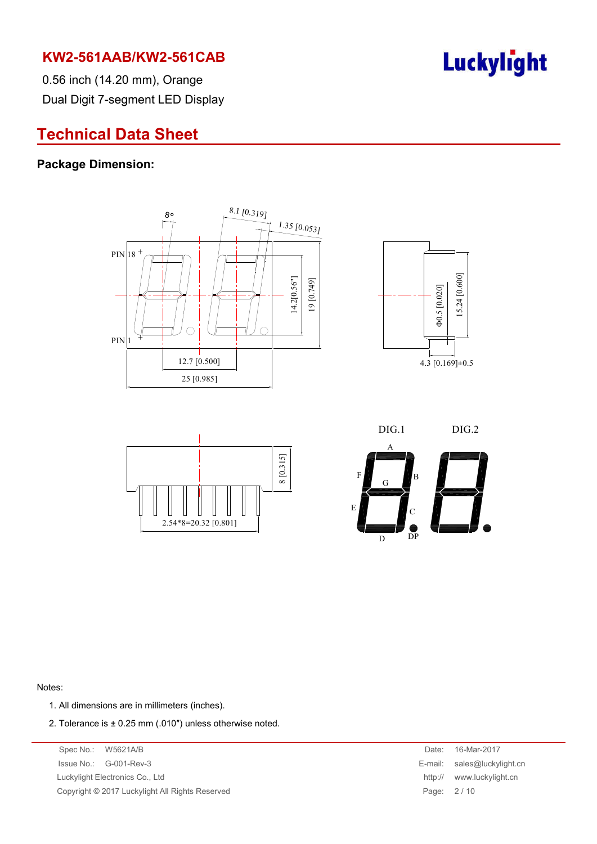

0.56 inch (14.20 mm), Orange Dual Digit 7-segment LED Display

## **Technical Data Sheet**

#### **Package Dimension:**









#### Notes:

- 1. All dimensions are in millimeters (inches).
- 2. Tolerance is  $\pm$  0.25 mm (.010") unless otherwise noted.

Spec No.: W5621A/B Date: 16-Mar-2017 Issue No.: G-001-Rev-3 Luckylight Electronics Co., Ltd. Copyright © 2017 Luckylight All Rights Reserved

| Date:   | 16-Mar-2017         |
|---------|---------------------|
| E-mail: | sales@luckylight.cn |
| http:// | www.luckylight.cn   |
| Page:   | 2/10                |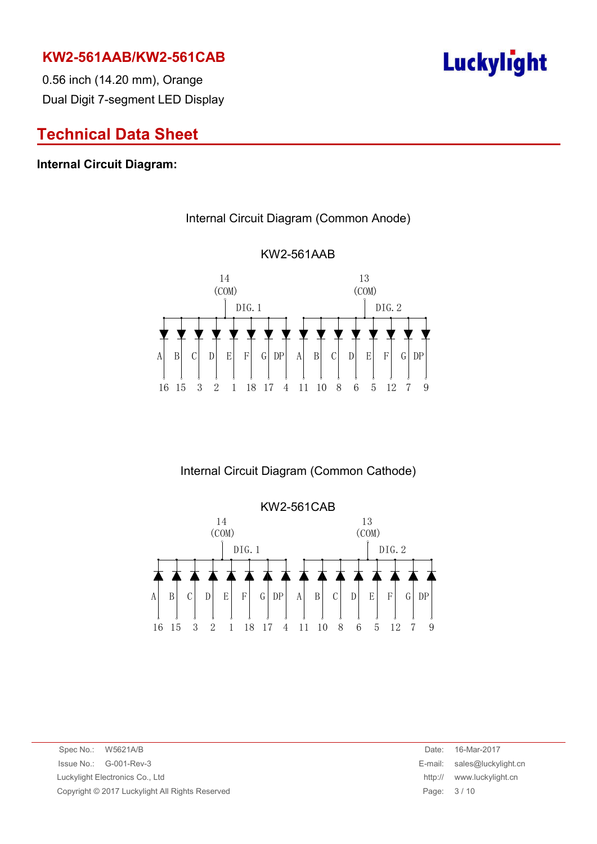

0.56 inch (14.20 mm), Orange Dual Digit 7-segment LED Display

## **Technical Data Sheet**

#### **Internal Circuit Diagram:**



## KW2-561AAB

Internal Circuit Diagram (Common Anode)

Internal Circuit Diagram (Common Cathode)



Spec No.: W5621A/B Date: 16-Mar-2017 Issue No.: G-001-Rev-3 E-mail: sales@luckylight.cn Luckylight Electronics Co., Ltd http:// www.luckylight.cn Copyright © 2017 Luckylight All Rights Reserved **Page: 3 / 10** Page: 3 / 10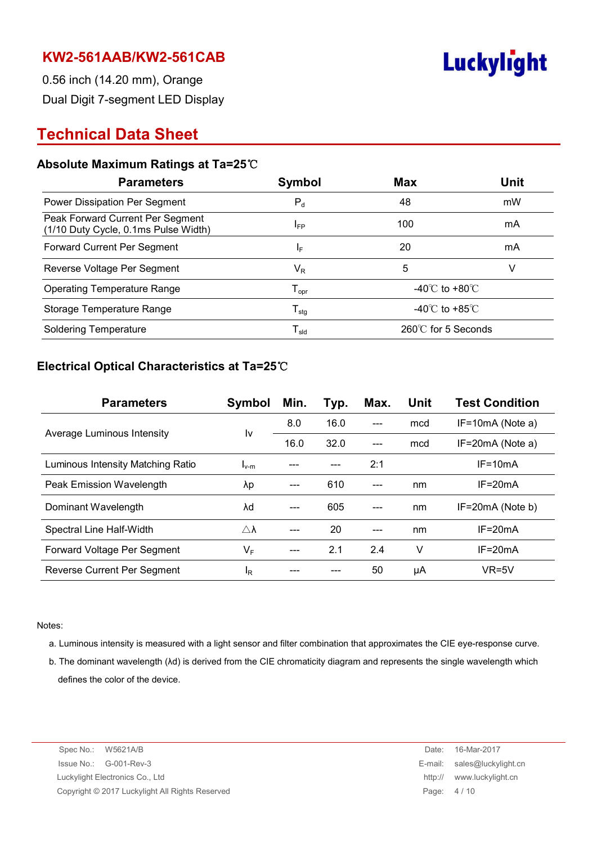

0.56 inch (14.20 mm), Orange Dual Digit 7-segment LED Display

## **Technical Data Sheet**

#### **Absolute Maximum Ratings at Ta=25**℃

| <b>Parameters</b>                                                        | Symbol                       | <b>Max</b>                         | <b>Unit</b> |
|--------------------------------------------------------------------------|------------------------------|------------------------------------|-------------|
| Power Dissipation Per Segment                                            | $P_{d}$                      | 48                                 | mW          |
| Peak Forward Current Per Segment<br>(1/10 Duty Cycle, 0.1ms Pulse Width) | <b>I</b> <sub>FP</sub>       | 100                                | mA          |
| Forward Current Per Segment                                              | IF.                          | 20                                 | mA          |
| Reverse Voltage Per Segment                                              | $\mathsf{V}_\mathsf{R}$      | 5                                  | ν           |
| <b>Operating Temperature Range</b>                                       | ${\mathsf T}_{\mathsf{opr}}$ | -40 $\degree$ C to +80 $\degree$ C |             |
| Storage Temperature Range                                                | ${\mathsf T}_{\text{stg}}$   | -40 $\degree$ C to +85 $\degree$ C |             |
| <b>Soldering Temperature</b>                                             | ${\mathsf T}_{\mathsf{sld}}$ | 260℃ for 5 Seconds                 |             |

#### **Electrical Optical Characteristics at Ta=25**℃

| <b>Parameters</b>                 | Symbol              | Min. | Typ. | Max. | Unit | <b>Test Condition</b> |
|-----------------------------------|---------------------|------|------|------|------|-----------------------|
| Average Luminous Intensity        | I٧                  | 8.0  | 16.0 |      | mcd  | $IF=10mA$ (Note a)    |
|                                   |                     | 16.0 | 32.0 |      | mcd  | $IF=20mA$ (Note a)    |
| Luminous Intensity Matching Ratio | $I_{v-m}$           |      |      | 2:1  |      | $IF = 10mA$           |
| Peak Emission Wavelength          | λp                  |      | 610  |      | nm   | $IF = 20mA$           |
| Dominant Wavelength               | λd                  |      | 605  |      | nm   | IF=20mA (Note b)      |
| Spectral Line Half-Width          | $\triangle \lambda$ |      | 20   |      | nm   | $IF = 20mA$           |
| Forward Voltage Per Segment       | $V_F$               |      | 2.1  | 2.4  | v    | $IF = 20mA$           |
| Reverse Current Per Segment       | ΙŖ                  |      |      | 50   | μA   | $VR=5V$               |

Notes:

- a. Luminous intensity is measured with a light sensor and filter combination that approximates the CIE eye-response curve.
- b. The dominant wavelength (λd) is derived from the CIE chromaticity diagram and represents the single wavelength which defines the color of the device.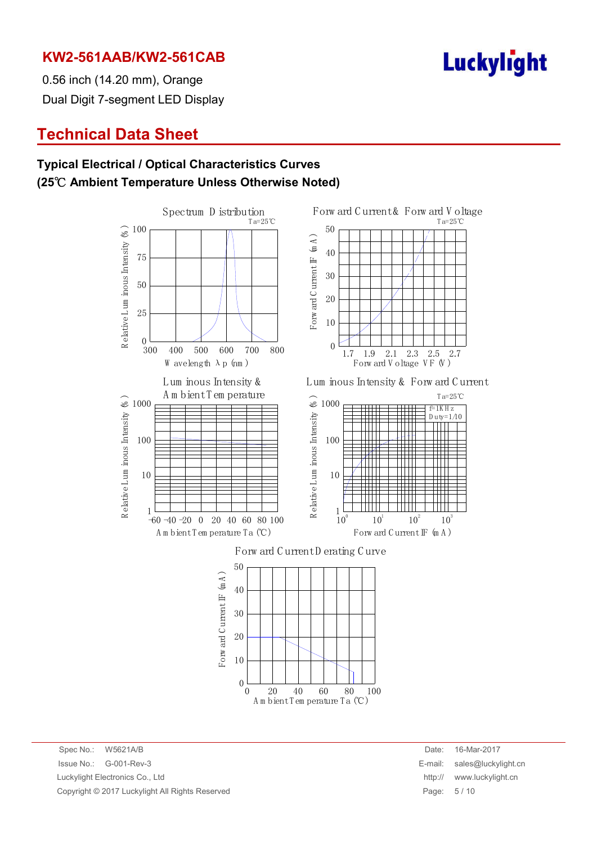

T a=25℃

103

 $f=1K H z$  $D$ uty= $1/10$ 

T a=25℃

2.7

0.56 inch (14.20 mm), Orange Dual Digit 7-segment LED Display

## **Technical Data Sheet**

#### **Typical Electrical / Optical Characteristics Curves (25**℃ **Ambient Temperature Unless Otherwise Noted)**



 $\Omega$ 

A m bient T em perature T a (℃)

20 40 60 80 100

Spec No.: W5621A/B Date: 16-Mar-2017 Issue No.: G-001-Rev-3 E-mail: sales@luckylight.cn Luckylight Electronics Co., Ltd http:// www.luckylight.cn Copyright © 2017 Luckylight All Rights Reserved **Page: 5 / 10** Page: 5 / 10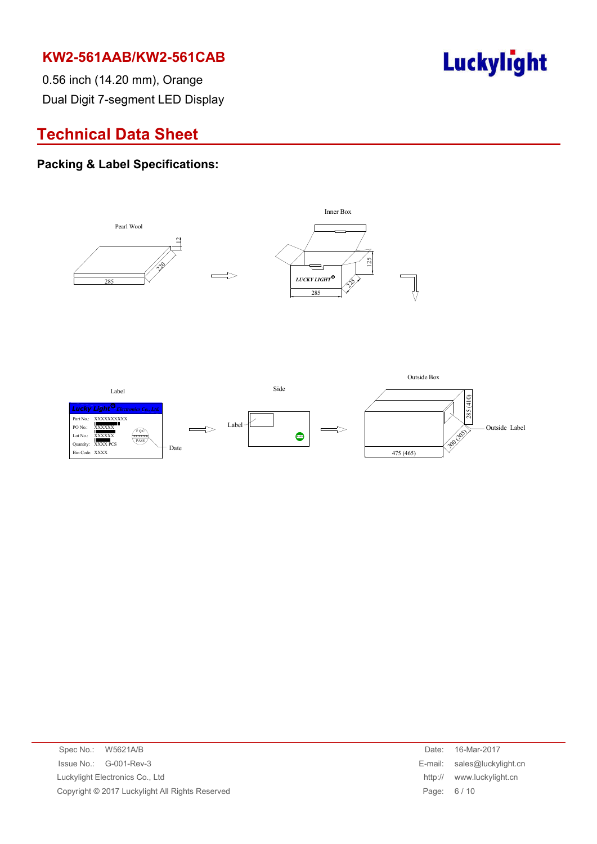

0.56 inch (14.20 mm), Orange Dual Digit 7-segment LED Display

## **Technical Data Sheet**

#### **Packing & Label Specifications:**



| Spec No.: W5621A/B                              | Date:      | 16-Mar-2017                 |
|-------------------------------------------------|------------|-----------------------------|
| $\ssue No.: \, G-001-Rev-3$                     |            | E-mail: sales@luckylight.cn |
| Luckylight Electronics Co., Ltd                 | http://    | www.luckylight.cn           |
| Copyright © 2017 Luckylight All Rights Reserved | Page: 6/10 |                             |
|                                                 |            |                             |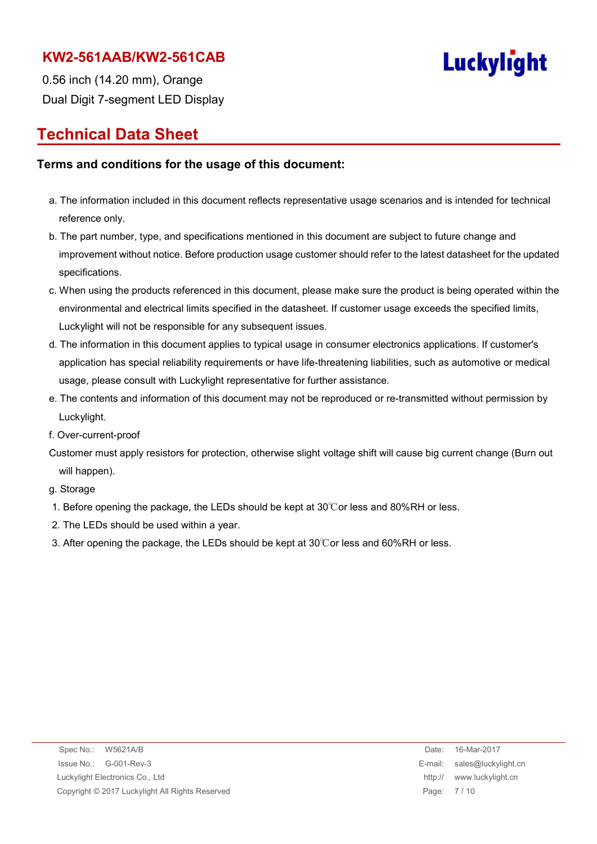

0.56 inch (14.20 mm), Orange Dual Digit 7-segment LED Display

## **Technical Data Sheet**

#### **Terms and conditions for the usage of this document:**

- a. The information included in this document reflects representative usage scenarios and is intended for technical reference only.
- b. The part number, type, and specifications mentioned in this document are subject to future change and improvement without notice. Before production usage customer should refer to the latest datasheet for the updated specifications.
- c. When using the products referenced in this document, please make sure the product is being operated within the environmental and electrical limits specified in the datasheet. If customer usage exceeds the specified limits, Luckylight will not be responsible for any subsequent issues.
- d. The information in this document applies to typical usage in consumer electronics applications. If customer's application has special reliability requirements or have life-threatening liabilities, such as automotive or medical usage, please consult with Luckylight representative for further assistance.
- e. The contents and information of this document may not be reproduced or re-transmitted without permission by Luckylight.
- f. Over-current-proof
- Customer must apply resistors for protection, otherwise slight voltage shift will cause big current change (Burn out will happen).

g. Storage

- 1. Before opening the package, the LEDs should be kept at 30℃or less and 80%RH or less.
- 2. The LEDs should be used within a year.
- 3. After opening the package, the LEDs should be kept at 30℃or less and 60%RH or less.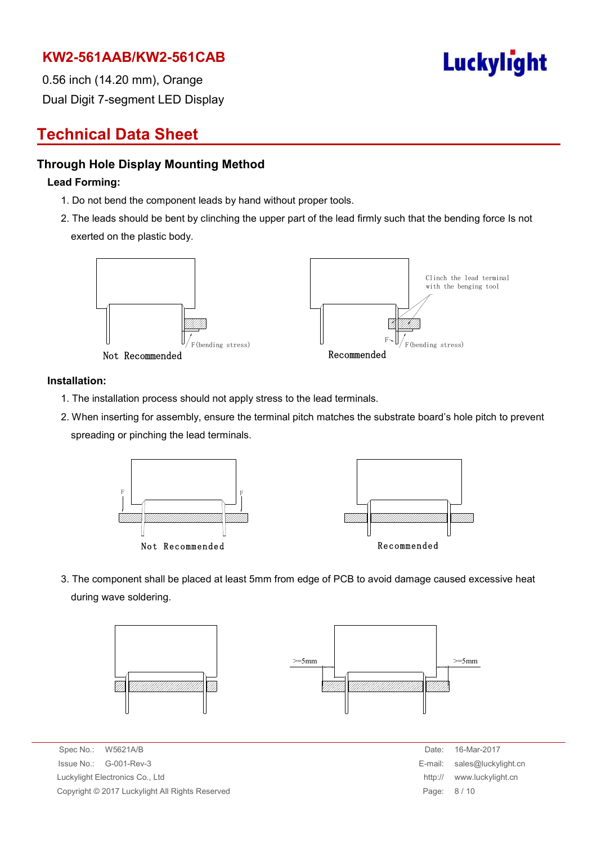

0.56 inch (14.20 mm), Orange Dual Digit 7-segment LED Display

## **Technical Data Sheet**

#### **Through Hole Display Mounting Method**

#### **Lead Forming:**

- 1. Do not bend the component leads by hand without proper tools.
- 2. The leads should be bent by clinching the upper part of the lead firmly such that the bending force Is not exerted on the plastic body.



#### **Installation:**

- 1. The installation process should not apply stress to the lead terminals.
- 2. When inserting for assembly, ensure the terminal pitch matches the substrate board's hole pitch to prevent spreading or pinching the lead terminals.



3. The component shall be placed at least 5mm from edge of PCB to avoid damage caused excessive heat during wave soldering.



Spec No.: W5621A/B Date: 16-Mar-2017  $Is sue No.: G-001-Rev-3$ Luckylight Electronics Co., Ltd. Copyright © 2017 Luckylight All Rights Reserved

| Date:   | 16-Mar-2017         |
|---------|---------------------|
| E-mail: | sales@luckylight.cn |
| http:// | www.luckylight.cn   |
| Page:   | 8/10                |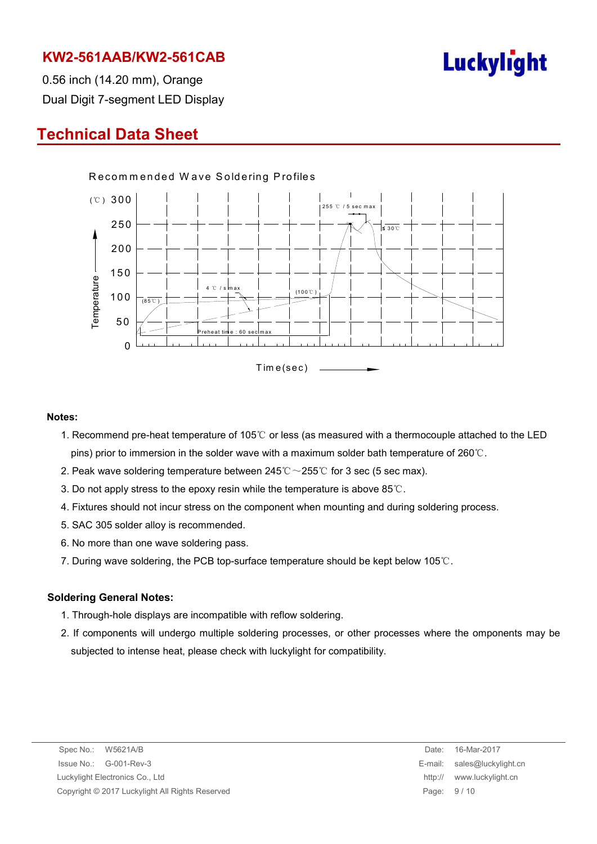

0.56 inch (14.20 mm), Orange Dual Digit 7-segment LED Display

## **Technical Data Sheet**



#### **Notes:**

- 1. Recommend pre-heat temperature of 105℃ or less (as measured with a thermocouple attached to the LED pins) prior to immersion in the solder wave with a maximum solder bath temperature of 260℃.
- 2. Peak wave soldering temperature between  $245^{\circ}\text{C} \sim 255^{\circ}\text{C}$  for 3 sec (5 sec max).
- 3. Do not apply stress to the epoxy resin while the temperature is above 85℃.
- 4. Fixtures should not incur stress on the component when mounting and during soldering process.
- 5. SAC 305 solder alloy is recommended.
- 6. No more than one wave soldering pass.
- 7. During wave soldering, the PCB top-surface temperature should be kept below 105℃.

#### **Soldering General Notes:**

- 1. Through-hole displays are incompatible with reflow soldering.
- 2. If components will undergo multiple soldering processes, or other processes where the omponents may be subjected to intense heat, please check with luckylight for compatibility.